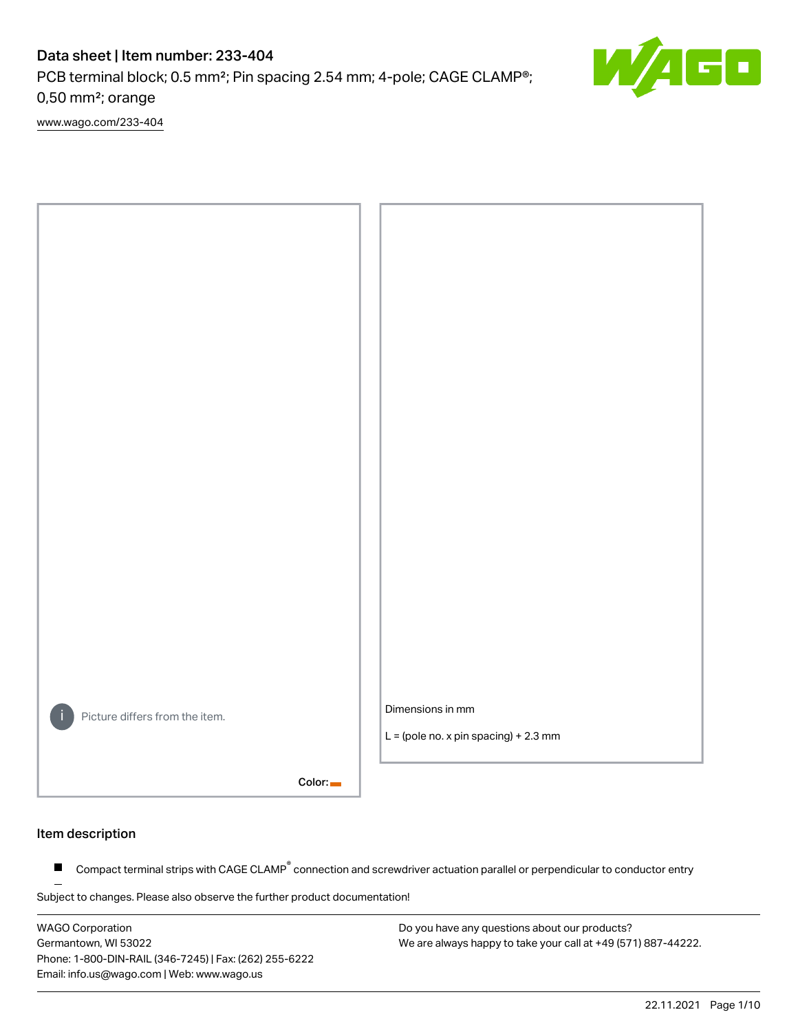PCB terminal block; 0.5 mm²; Pin spacing 2.54 mm; 4-pole; CAGE CLAMP®; 0,50 mm²; orange

[www.wago.com/233-404](http://www.wago.com/233-404)



#### Item description

Compact terminal strips with CAGE CLAMP<sup>®</sup> connection and screwdriver actuation parallel or perpendicular to conductor entry  $\blacksquare$ 

Subject to changes. Please also observe the further product documentation!

WAGO Corporation Germantown, WI 53022 Phone: 1-800-DIN-RAIL (346-7245) | Fax: (262) 255-6222 Email: info.us@wago.com | Web: www.wago.us

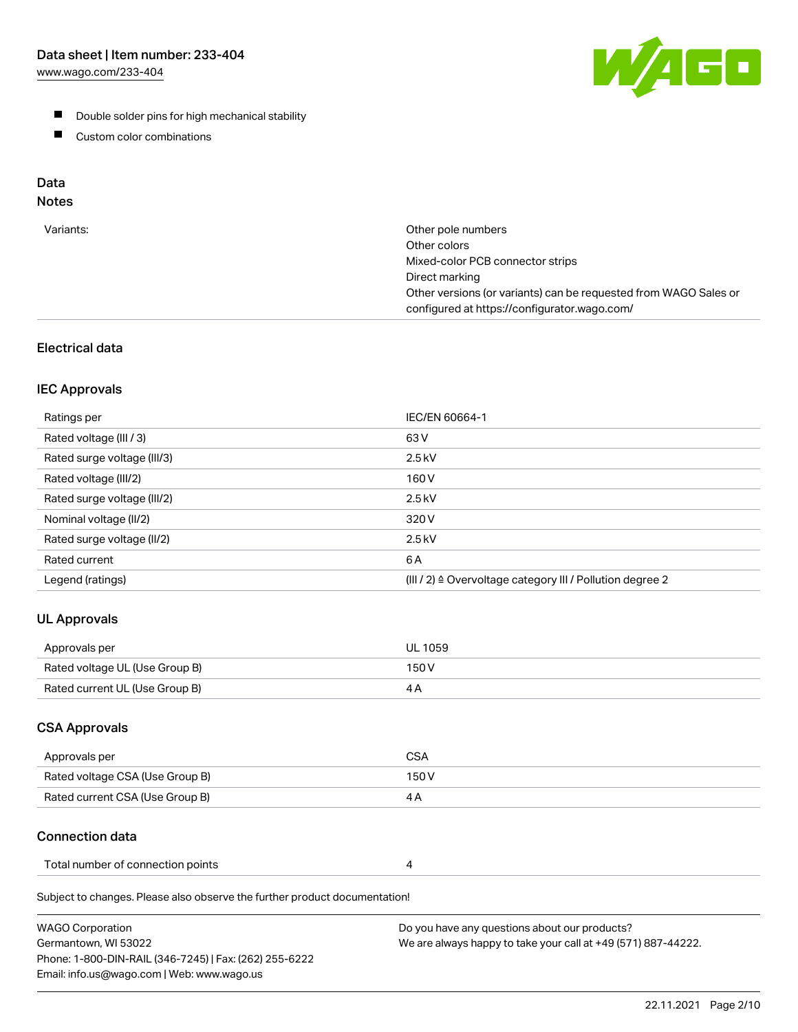[www.wago.com/233-404](http://www.wago.com/233-404)



- **Double solder pins for high mechanical stability**
- **Custom color combinations**

# Data

# Notes

| Variants: | Other pole numbers<br>Other colors<br>Mixed-color PCB connector strips<br>Direct marking<br>Other versions (or variants) can be requested from WAGO Sales or<br>configured at https://configurator.wago.com/ |
|-----------|--------------------------------------------------------------------------------------------------------------------------------------------------------------------------------------------------------------|
|           |                                                                                                                                                                                                              |

# Electrical data

#### IEC Approvals

| Ratings per                 | IEC/EN 60664-1                                            |
|-----------------------------|-----------------------------------------------------------|
| Rated voltage (III / 3)     | 63 V                                                      |
| Rated surge voltage (III/3) | $2.5$ kV                                                  |
| Rated voltage (III/2)       | 160 V                                                     |
| Rated surge voltage (III/2) | $2.5$ kV                                                  |
| Nominal voltage (II/2)      | 320 V                                                     |
| Rated surge voltage (II/2)  | $2.5$ kV                                                  |
| Rated current               | 6 A                                                       |
| Legend (ratings)            | (III / 2) ≙ Overvoltage category III / Pollution degree 2 |

# UL Approvals

| Approvals per                  | UL 1059 |
|--------------------------------|---------|
| Rated voltage UL (Use Group B) | 150 V   |
| Rated current UL (Use Group B) |         |

## CSA Approvals

| Approvals per                   | CSA   |
|---------------------------------|-------|
| Rated voltage CSA (Use Group B) | 150 V |
| Rated current CSA (Use Group B) |       |

# Connection data

| Total number of connection points |  |
|-----------------------------------|--|
|-----------------------------------|--|

Subject to changes. Please also observe the further product documentation!

| <b>WAGO Corporation</b>                                | Do you have any questions about our products?                 |
|--------------------------------------------------------|---------------------------------------------------------------|
| Germantown, WI 53022                                   | We are always happy to take your call at +49 (571) 887-44222. |
| Phone: 1-800-DIN-RAIL (346-7245)   Fax: (262) 255-6222 |                                                               |
| Email: info.us@wago.com   Web: www.wago.us             |                                                               |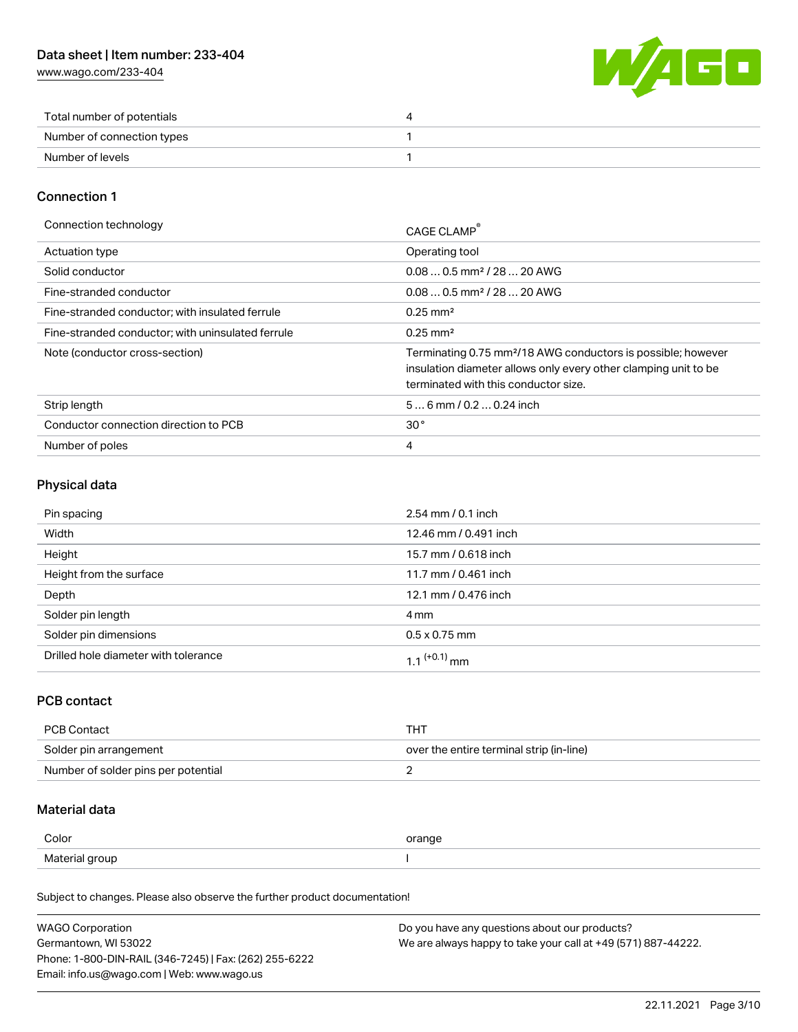[www.wago.com/233-404](http://www.wago.com/233-404)



| Total number of potentials |  |
|----------------------------|--|
| Number of connection types |  |
| Number of levels           |  |

#### Connection 1

| Connection technology                             | CAGE CLAMP                                                                                                                                                                          |
|---------------------------------------------------|-------------------------------------------------------------------------------------------------------------------------------------------------------------------------------------|
| <b>Actuation type</b>                             | Operating tool                                                                                                                                                                      |
| Solid conductor                                   | $0.080.5$ mm <sup>2</sup> / 28  20 AWG                                                                                                                                              |
| Fine-stranded conductor                           | $0.080.5$ mm <sup>2</sup> / 28  20 AWG                                                                                                                                              |
| Fine-stranded conductor; with insulated ferrule   | $0.25 \text{ mm}^2$                                                                                                                                                                 |
| Fine-stranded conductor; with uninsulated ferrule | $0.25 \text{ mm}^2$                                                                                                                                                                 |
| Note (conductor cross-section)                    | Terminating 0.75 mm <sup>2</sup> /18 AWG conductors is possible; however<br>insulation diameter allows only every other clamping unit to be<br>terminated with this conductor size. |
| Strip length                                      | $56$ mm / 0.2  0.24 inch                                                                                                                                                            |
| Conductor connection direction to PCB             | 30 <sup>°</sup>                                                                                                                                                                     |
| Number of poles                                   | 4                                                                                                                                                                                   |

#### Physical data

| Pin spacing                          | $2.54$ mm $/ 0.1$ inch |
|--------------------------------------|------------------------|
| Width                                | 12.46 mm / 0.491 inch  |
| Height                               | 15.7 mm / 0.618 inch   |
| Height from the surface              | 11.7 mm / 0.461 inch   |
| Depth                                | 12.1 mm / 0.476 inch   |
| Solder pin length                    | 4 mm                   |
| Solder pin dimensions                | $0.5 \times 0.75$ mm   |
| Drilled hole diameter with tolerance | 1 1 $(+0.1)$ mm        |

## PCB contact

| PCB Contact                         | THT                                      |
|-------------------------------------|------------------------------------------|
| Solder pin arrangement              | over the entire terminal strip (in-line) |
| Number of solder pins per potential |                                          |

## Material data

| Color          | orange |
|----------------|--------|
| Material group |        |

Subject to changes. Please also observe the further product documentation!

| <b>WAGO Corporation</b>                                | Do you have any questions about our products?                 |
|--------------------------------------------------------|---------------------------------------------------------------|
| Germantown, WI 53022                                   | We are always happy to take your call at +49 (571) 887-44222. |
| Phone: 1-800-DIN-RAIL (346-7245)   Fax: (262) 255-6222 |                                                               |
| Email: info.us@wago.com   Web: www.wago.us             |                                                               |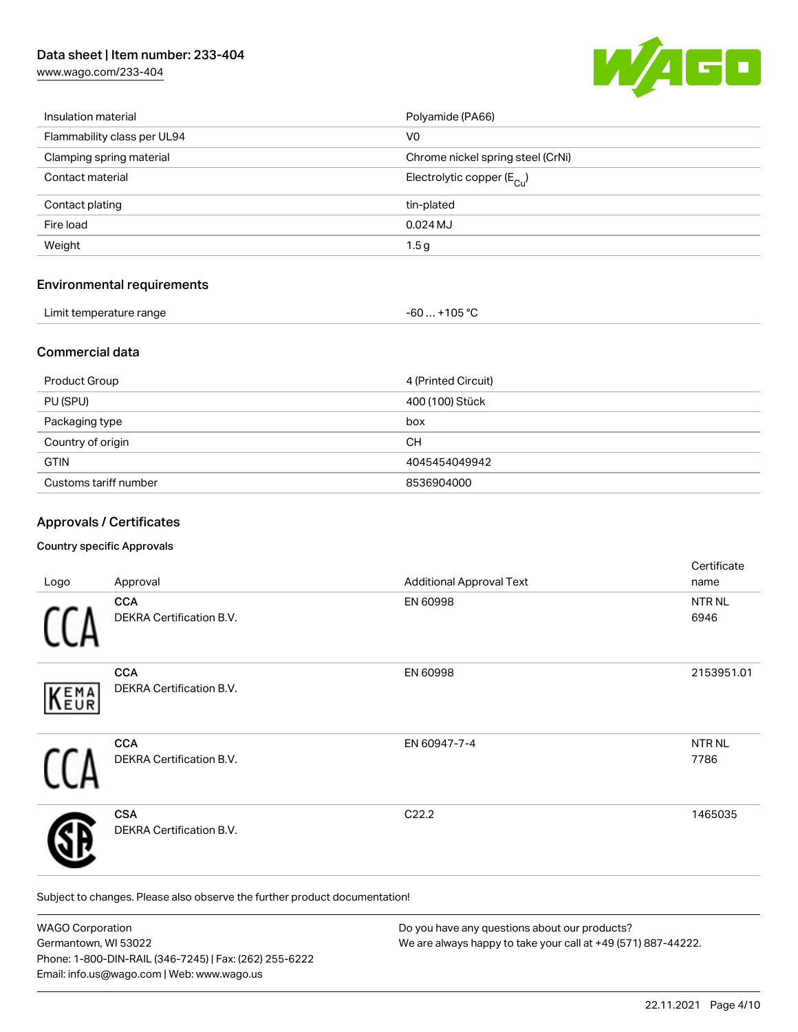[www.wago.com/233-404](http://www.wago.com/233-404)



| Insulation material         | Polyamide (PA66)                        |
|-----------------------------|-----------------------------------------|
| Flammability class per UL94 | V <sub>0</sub>                          |
| Clamping spring material    | Chrome nickel spring steel (CrNi)       |
| Contact material            | Electrolytic copper ( $E_{\text{Cu}}$ ) |
| Contact plating             | tin-plated                              |
| Fire load                   | $0.024$ MJ                              |
| Weight                      | 1.5g                                    |
|                             |                                         |

#### Environmental requirements

| Limit temperature range | $-60+105 °C$ |
|-------------------------|--------------|
|                         |              |

#### Commercial data

| <b>Product Group</b>  | 4 (Printed Circuit) |
|-----------------------|---------------------|
| PU (SPU)              | 400 (100) Stück     |
| Packaging type        | box                 |
| Country of origin     | CН                  |
| <b>GTIN</b>           | 4045454049942       |
| Customs tariff number | 8536904000          |

## Approvals / Certificates

#### Country specific Approvals

| Logo | Approval                                      | <b>Additional Approval Text</b> | Certificate<br>name   |
|------|-----------------------------------------------|---------------------------------|-----------------------|
|      | <b>CCA</b><br><b>DEKRA Certification B.V.</b> | EN 60998                        | NTR NL<br>6946        |
| KEMA | <b>CCA</b><br>DEKRA Certification B.V.        | EN 60998                        | 2153951.01            |
|      | <b>CCA</b><br>DEKRA Certification B.V.        | EN 60947-7-4                    | <b>NTR NL</b><br>7786 |
|      | <b>CSA</b><br><b>DEKRA Certification B.V.</b> | C22.2                           | 1465035               |

Subject to changes. Please also observe the further product documentation!

| <b>WAGO Corporation</b>                                | Do you have any questions about our products?                 |
|--------------------------------------------------------|---------------------------------------------------------------|
| Germantown, WI 53022                                   | We are always happy to take your call at +49 (571) 887-44222. |
| Phone: 1-800-DIN-RAIL (346-7245)   Fax: (262) 255-6222 |                                                               |
| Email: info.us@wago.com   Web: www.wago.us             |                                                               |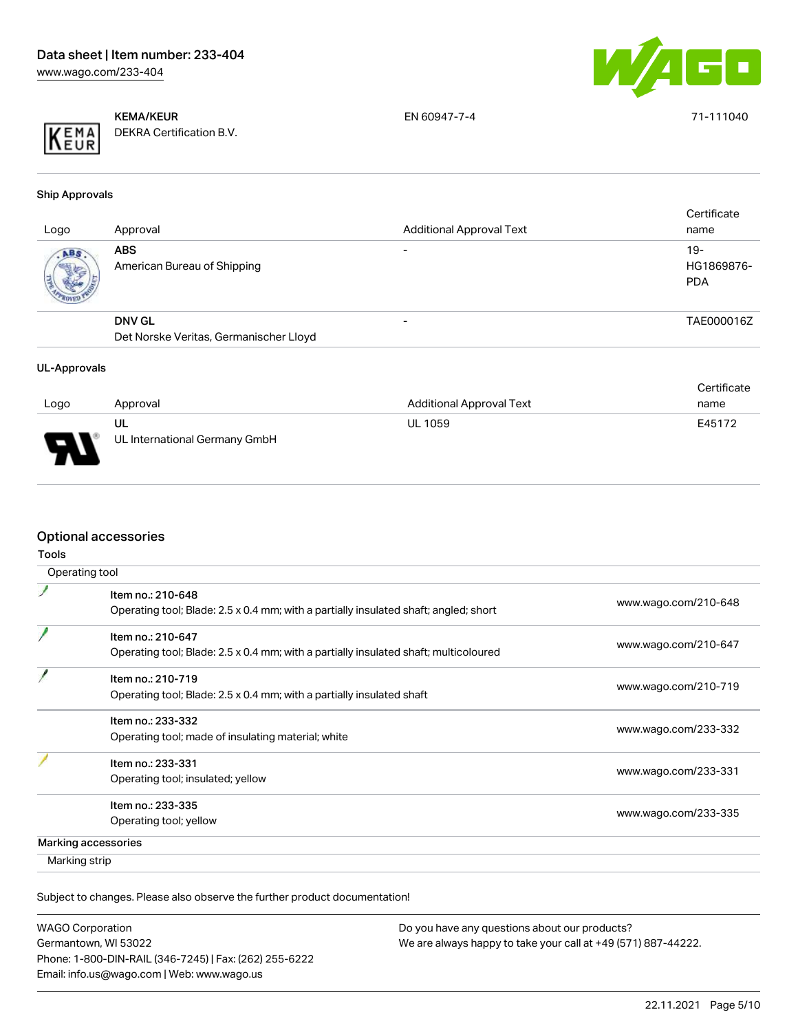



KEMA/KEUR DEKRA Certification B.V. EN 60947-7-4 71-111040

Ship Approvals

|      | <b>ABS</b>                                              |                          |                                   |
|------|---------------------------------------------------------|--------------------------|-----------------------------------|
| ABS. | American Bureau of Shipping                             | $\overline{\phantom{0}}$ | $19-$<br>HG1869876-<br><b>PDA</b> |
|      | <b>DNV GL</b><br>Det Norske Veritas, Germanischer Lloyd |                          | TAE000016Z                        |

#### UL-Approvals

|      |                               |                                 | Certificate |
|------|-------------------------------|---------------------------------|-------------|
| Logo | Approval                      | <b>Additional Approval Text</b> | name        |
|      | UL                            | <b>UL 1059</b>                  | E45172      |
| Б    | UL International Germany GmbH |                                 |             |

## Optional accessories

| Operating tool                                                                                            |                      |
|-----------------------------------------------------------------------------------------------------------|----------------------|
| Item no.: 210-648<br>Operating tool; Blade: 2.5 x 0.4 mm; with a partially insulated shaft; angled; short | www.wago.com/210-648 |
| Item no.: 210-647<br>Operating tool; Blade: 2.5 x 0.4 mm; with a partially insulated shaft; multicoloured | www.wago.com/210-647 |
| Item no.: 210-719<br>Operating tool; Blade: 2.5 x 0.4 mm; with a partially insulated shaft                | www.wago.com/210-719 |
| Item no.: 233-332<br>Operating tool; made of insulating material; white                                   | www.wago.com/233-332 |
| Item no.: 233-331<br>Operating tool; insulated; yellow                                                    | www.wago.com/233-331 |
| Item no.: 233-335<br>Operating tool; yellow                                                               | www.wago.com/233-335 |
| Marking accessories                                                                                       |                      |
| Marking strip                                                                                             |                      |

Subject to changes. Please also observe the further product documentation!

WAGO Corporation Germantown, WI 53022 Phone: 1-800-DIN-RAIL (346-7245) | Fax: (262) 255-6222 Email: info.us@wago.com | Web: www.wago.us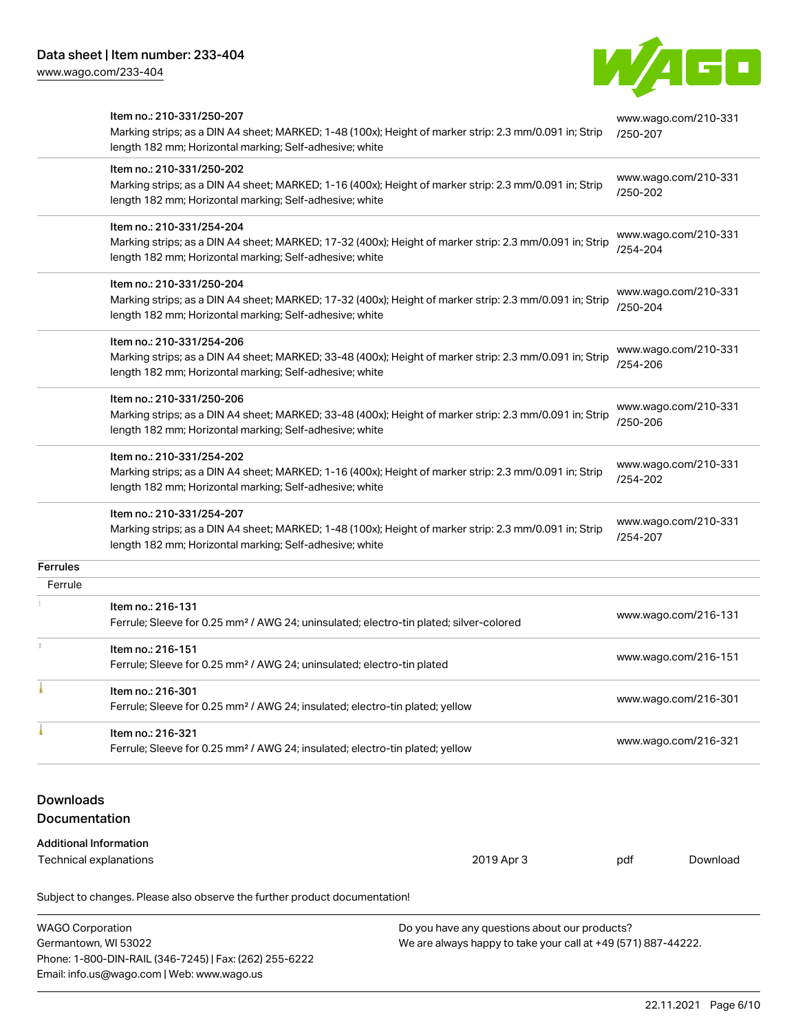Email: info.us@wago.com | Web: www.wago.us

[www.wago.com/233-404](http://www.wago.com/233-404)



|                                                 | Item no.: 210-331/250-207<br>Marking strips; as a DIN A4 sheet; MARKED; 1-48 (100x); Height of marker strip: 2.3 mm/0.091 in; Strip<br>length 182 mm; Horizontal marking; Self-adhesive; white  |                                                                                                                | www.wago.com/210-331<br>/250-207 |                      |
|-------------------------------------------------|-------------------------------------------------------------------------------------------------------------------------------------------------------------------------------------------------|----------------------------------------------------------------------------------------------------------------|----------------------------------|----------------------|
|                                                 | Item no.: 210-331/250-202<br>Marking strips; as a DIN A4 sheet; MARKED; 1-16 (400x); Height of marker strip: 2.3 mm/0.091 in; Strip<br>length 182 mm; Horizontal marking; Self-adhesive; white  |                                                                                                                | /250-202                         | www.wago.com/210-331 |
|                                                 | Item no.: 210-331/254-204<br>Marking strips; as a DIN A4 sheet; MARKED; 17-32 (400x); Height of marker strip: 2.3 mm/0.091 in; Strip<br>length 182 mm; Horizontal marking; Self-adhesive; white |                                                                                                                | /254-204                         | www.wago.com/210-331 |
|                                                 | Item no.: 210-331/250-204<br>Marking strips; as a DIN A4 sheet; MARKED; 17-32 (400x); Height of marker strip: 2.3 mm/0.091 in; Strip<br>length 182 mm; Horizontal marking; Self-adhesive; white |                                                                                                                | /250-204                         | www.wago.com/210-331 |
|                                                 | Item no.: 210-331/254-206<br>Marking strips; as a DIN A4 sheet; MARKED; 33-48 (400x); Height of marker strip: 2.3 mm/0.091 in; Strip<br>length 182 mm; Horizontal marking; Self-adhesive; white |                                                                                                                | /254-206                         | www.wago.com/210-331 |
|                                                 | Item no.: 210-331/250-206<br>Marking strips; as a DIN A4 sheet; MARKED; 33-48 (400x); Height of marker strip: 2.3 mm/0.091 in; Strip<br>length 182 mm; Horizontal marking; Self-adhesive; white |                                                                                                                | /250-206                         | www.wago.com/210-331 |
|                                                 | Item no.: 210-331/254-202<br>Marking strips; as a DIN A4 sheet; MARKED; 1-16 (400x); Height of marker strip: 2.3 mm/0.091 in; Strip<br>length 182 mm; Horizontal marking; Self-adhesive; white  |                                                                                                                | /254-202                         | www.wago.com/210-331 |
|                                                 | Item no.: 210-331/254-207<br>Marking strips; as a DIN A4 sheet; MARKED; 1-48 (100x); Height of marker strip: 2.3 mm/0.091 in; Strip<br>length 182 mm; Horizontal marking; Self-adhesive; white  |                                                                                                                | /254-207                         | www.wago.com/210-331 |
| Ferrules                                        |                                                                                                                                                                                                 |                                                                                                                |                                  |                      |
| Ferrule                                         |                                                                                                                                                                                                 |                                                                                                                |                                  |                      |
|                                                 | Item no.: 216-131<br>Ferrule; Sleeve for 0.25 mm <sup>2</sup> / AWG 24; uninsulated; electro-tin plated; silver-colored                                                                         |                                                                                                                |                                  | www.wago.com/216-131 |
|                                                 | Item no.: 216-151<br>Ferrule; Sleeve for 0.25 mm <sup>2</sup> / AWG 24; uninsulated; electro-tin plated                                                                                         |                                                                                                                |                                  | www.wago.com/216-151 |
|                                                 | Item no.: 216-301<br>Ferrule; Sleeve for 0.25 mm <sup>2</sup> / AWG 24; insulated; electro-tin plated; yellow                                                                                   |                                                                                                                |                                  | www.wago.com/216-301 |
|                                                 | Item no.: 216-321<br>Ferrule; Sleeve for 0.25 mm <sup>2</sup> / AWG 24; insulated; electro-tin plated; yellow                                                                                   |                                                                                                                |                                  | www.wago.com/216-321 |
| <b>Downloads</b><br><b>Documentation</b>        |                                                                                                                                                                                                 |                                                                                                                |                                  |                      |
| <b>Additional Information</b>                   | Technical explanations                                                                                                                                                                          | 2019 Apr 3                                                                                                     | pdf                              | Download             |
|                                                 | Subject to changes. Please also observe the further product documentation!                                                                                                                      |                                                                                                                |                                  |                      |
| <b>WAGO Corporation</b><br>Germantown, WI 53022 | Phone: 1-800-DIN-RAIL (346-7245)   Fax: (262) 255-6222                                                                                                                                          | Do you have any questions about our products?<br>We are always happy to take your call at +49 (571) 887-44222. |                                  |                      |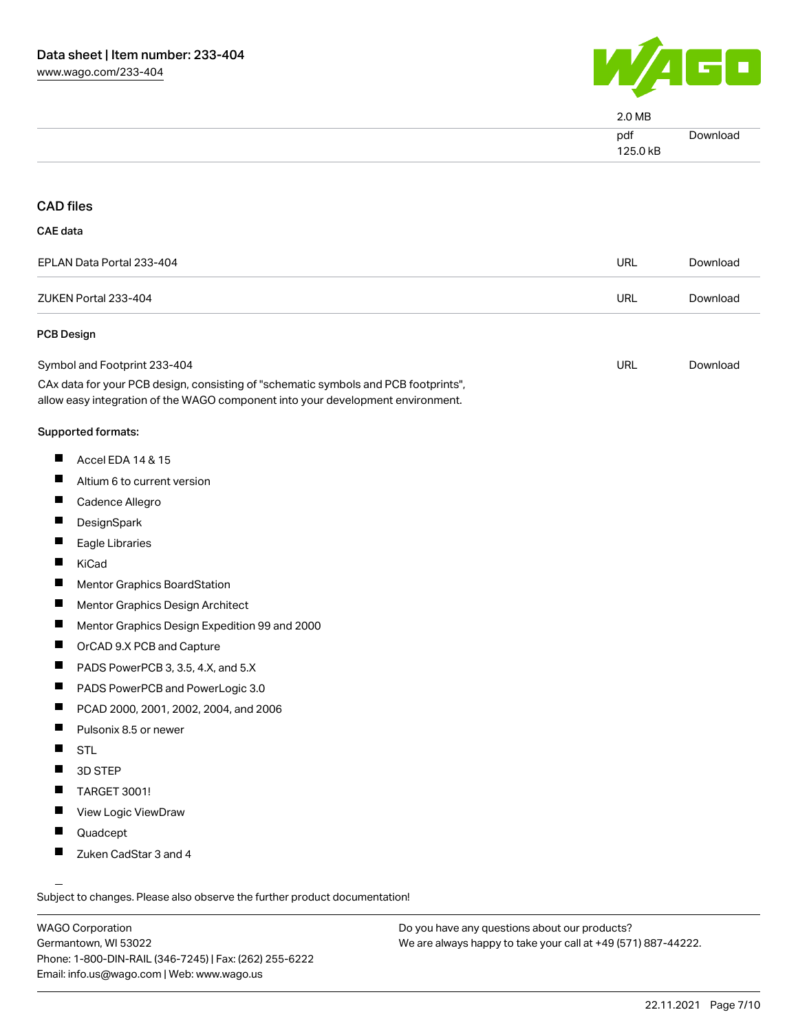

| $2.0 M$ B       |                 |
|-----------------|-----------------|
| pdf<br>125.0 kB | <b>Download</b> |
|                 |                 |

#### CAD files

| EPLAN Data Portal 233-404 | URL | Download |
|---------------------------|-----|----------|
| ZUKEN Portal 233-404      | URL | Download |

#### PCB Design

| Symbol and Footprint 233-404                                                        | URL | Download |
|-------------------------------------------------------------------------------------|-----|----------|
| CAx data for your PCB design, consisting of "schematic symbols and PCB footprints", |     |          |

allow easy integration of the WAGO component into your development environment.

#### Supported formats:

- $\blacksquare$ Accel EDA 14 & 15
- $\blacksquare$ Altium 6 to current version
- $\blacksquare$ Cadence Allegro
- $\blacksquare$ DesignSpark
- $\blacksquare$ Eagle Libraries
- $\blacksquare$ KiCad
- $\blacksquare$ Mentor Graphics BoardStation
- $\blacksquare$ Mentor Graphics Design Architect
- $\blacksquare$ Mentor Graphics Design Expedition 99 and 2000
- $\blacksquare$ OrCAD 9.X PCB and Capture
- $\blacksquare$ PADS PowerPCB 3, 3.5, 4.X, and 5.X
- $\blacksquare$ PADS PowerPCB and PowerLogic 3.0
- $\blacksquare$ PCAD 2000, 2001, 2002, 2004, and 2006
- $\blacksquare$ Pulsonix 8.5 or newer
- $\blacksquare$ **STL**
- $\blacksquare$ 3D STEP
- $\blacksquare$ TARGET 3001!
- П View Logic ViewDraw
- $\blacksquare$ Quadcept
- $\blacksquare$ Zuken CadStar 3 and 4

Subject to changes. Please also observe the further product documentation!

WAGO Corporation Germantown, WI 53022 Phone: 1-800-DIN-RAIL (346-7245) | Fax: (262) 255-6222 Email: info.us@wago.com | Web: www.wago.us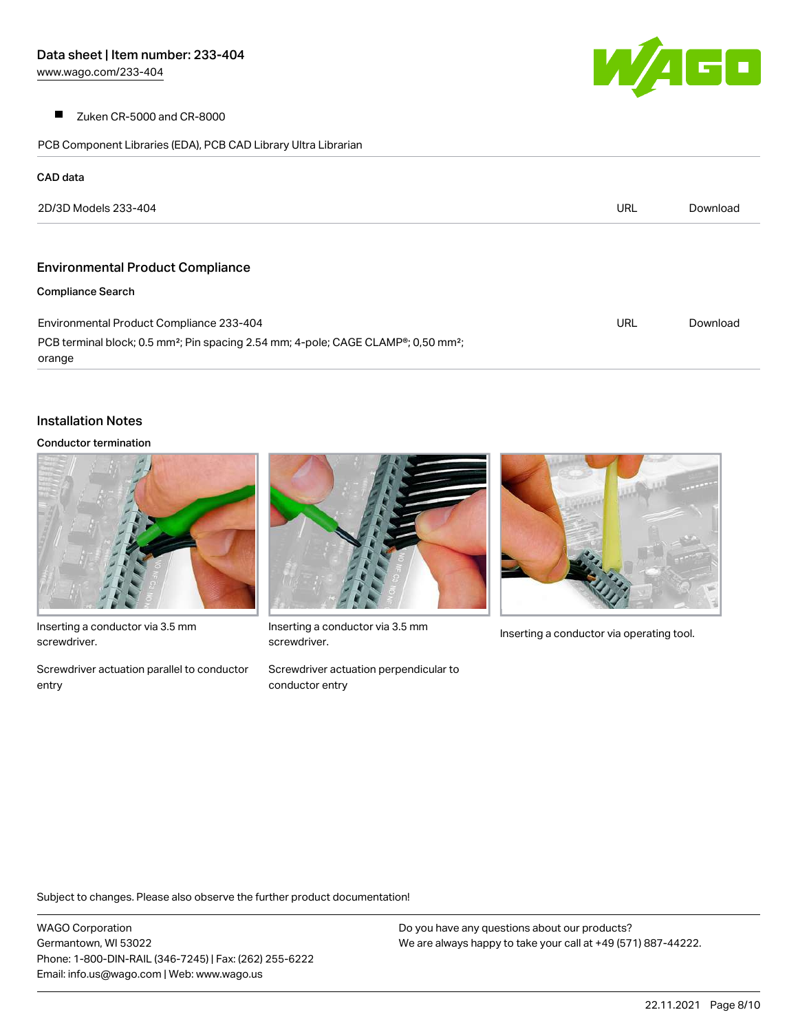$\sqrt{4}$ 

 $\blacksquare$ Zuken CR-5000 and CR-8000

PCB Component Libraries (EDA), PCB CAD Library Ultra Librarian

| CAD data                                                                                                                |     |          |
|-------------------------------------------------------------------------------------------------------------------------|-----|----------|
| 2D/3D Models 233-404                                                                                                    | URL | Download |
|                                                                                                                         |     |          |
| <b>Environmental Product Compliance</b>                                                                                 |     |          |
| <b>Compliance Search</b>                                                                                                |     |          |
| Environmental Product Compliance 233-404                                                                                | URL | Download |
| PCB terminal block; 0.5 mm <sup>2</sup> ; Pin spacing 2.54 mm; 4-pole; CAGE CLAMP <sup>®</sup> ; 0,50 mm <sup>2</sup> ; |     |          |
| orange                                                                                                                  |     |          |

#### Installation Notes

#### Conductor termination



Inserting a conductor via 3.5 mm screwdriver.

Screwdriver actuation parallel to conductor entry



Inserting a conductor via 3.5 mm<br>Inserting a conductor via operating tool. screwdriver.

Screwdriver actuation perpendicular to conductor entry



Subject to changes. Please also observe the further product documentation!

WAGO Corporation Germantown, WI 53022 Phone: 1-800-DIN-RAIL (346-7245) | Fax: (262) 255-6222 Email: info.us@wago.com | Web: www.wago.us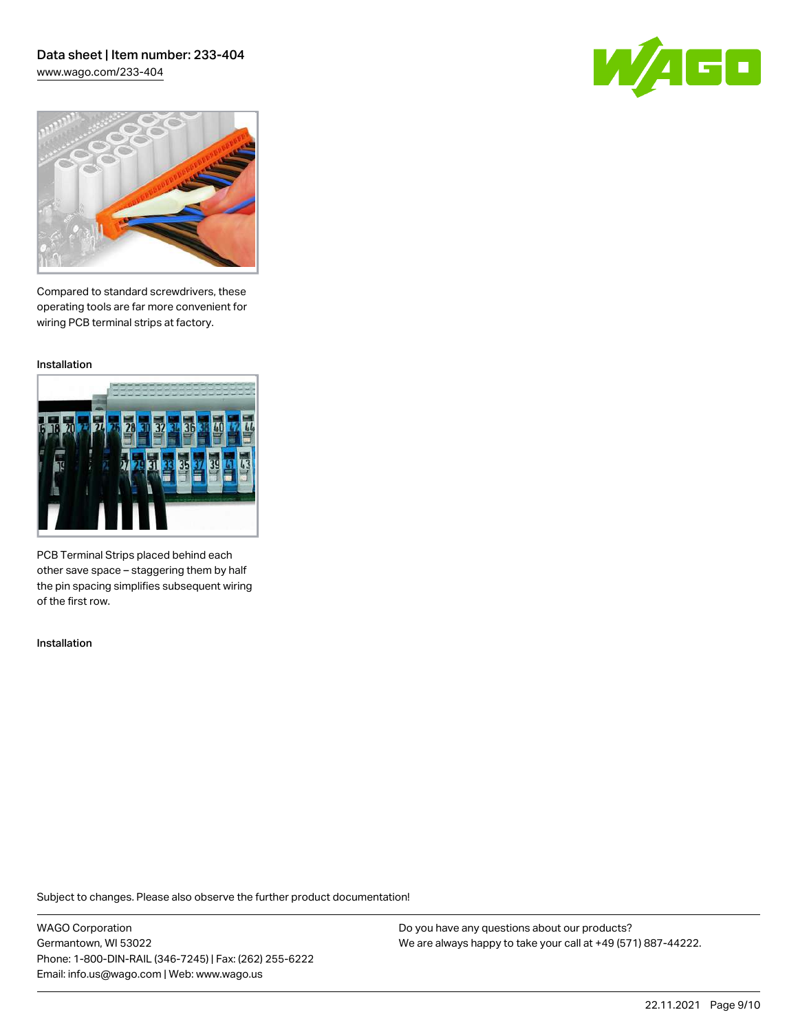[www.wago.com/233-404](http://www.wago.com/233-404)





Compared to standard screwdrivers, these operating tools are far more convenient for wiring PCB terminal strips at factory.

Installation



PCB Terminal Strips placed behind each other save space – staggering them by half the pin spacing simplifies subsequent wiring of the first row.

Installation

Subject to changes. Please also observe the further product documentation!

WAGO Corporation Germantown, WI 53022 Phone: 1-800-DIN-RAIL (346-7245) | Fax: (262) 255-6222 Email: info.us@wago.com | Web: www.wago.us